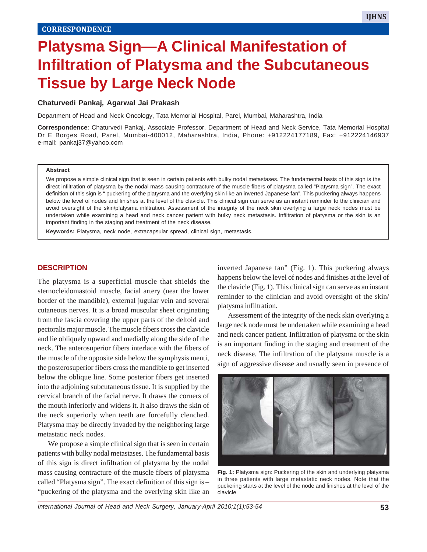# **Platysma Sign—A Clinical Manifestation of Infiltration of Platysma and the Subcutaneous Tissue by Large Neck Node**

## **Chaturvedi Pankaj***,* **Agarwal Jai Prakash**

Department of Head and Neck Oncology, Tata Memorial Hospital, Parel, Mumbai, Maharashtra, India

**Correspondence**: Chaturvedi Pankaj, Associate Professor, Department of Head and Neck Service, Tata Memorial Hospital Dr E Borges Road, Parel, Mumbai-400012, Maharashtra, India, Phone: +912224177189, Fax: +912224146937 e-mail: pankaj37@yahoo.com

#### **Abstract**

We propose a simple clinical sign that is seen in certain patients with bulky nodal metastases. The fundamental basis of this sign is the direct infiltration of platysma by the nodal mass causing contracture of the muscle fibers of platysma called "Platysma sign". The exact definition of this sign is " puckering of the platysma and the overlying skin like an inverted Japanese fan". This puckering always happens below the level of nodes and finishes at the level of the clavicle. This clinical sign can serve as an instant reminder to the clinician and avoid oversight of the skin/platysma infiltration. Assessment of the integrity of the neck skin overlying a large neck nodes must be undertaken while examining a head and neck cancer patient with bulky neck metastasis. Infiltration of platysma or the skin is an important finding in the staging and treatment of the neck disease.

**Keywords:** Platysma, neck node, extracapsular spread, clinical sign, metastasis.

### **DESCRIPTION**

The platysma is a superficial muscle that shields the sternocleidomastoid muscle, facial artery (near the lower border of the mandible), external jugular vein and several cutaneous nerves. It is a broad muscular sheet originating from the fascia covering the upper parts of the deltoid and pectoralis major muscle. The muscle fibers cross the clavicle and lie obliquely upward and medially along the side of the neck. The anterosuperior fibers interlace with the fibers of the muscle of the opposite side below the symphysis menti, the posterosuperior fibers cross the mandible to get inserted below the oblique line. Some posterior fibers get inserted into the adjoining subcutaneous tissue. It is supplied by the cervical branch of the facial nerve. It draws the corners of the mouth inferiorly and widens it. It also draws the skin of the neck superiorly when teeth are forcefully clenched. Platysma may be directly invaded by the neighboring large metastatic neck nodes.

We propose a simple clinical sign that is seen in certain patients with bulky nodal metastases. The fundamental basis of this sign is direct infiltration of platysma by the nodal mass causing contracture of the muscle fibers of platysma called "Platysma sign". The exact definition of this sign is – "puckering of the platysma and the overlying skin like an inverted Japanese fan" (Fig. 1). This puckering always happens below the level of nodes and finishes at the level of the clavicle (Fig. 1). This clinical sign can serve as an instant reminder to the clinician and avoid oversight of the skin/ platysma infiltration.

Assessment of the integrity of the neck skin overlying a large neck node must be undertaken while examining a head and neck cancer patient. Infiltration of platysma or the skin is an important finding in the staging and treatment of the neck disease. The infiltration of the platysma muscle is a sign of aggressive disease and usually seen in presence of



**Fig. 1:** Platysma sign: Puckering of the skin and underlying platysma in three patients with large metastatic neck nodes. Note that the puckering starts at the level of the node and finishes at the level of the clavicle